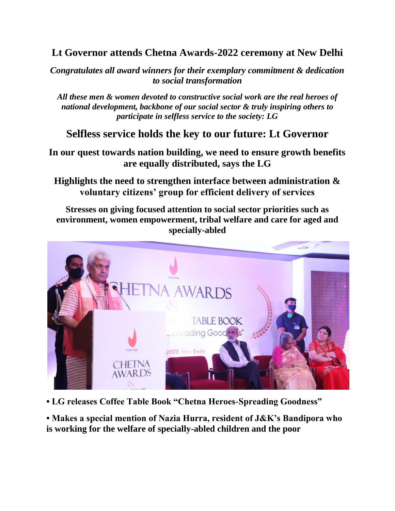## **Lt Governor attends Chetna Awards-2022 ceremony at New Delhi**

*Congratulates all award winners for their exemplary commitment & dedication to social transformation*

*All these men & women devoted to constructive social work are the real heroes of national development, backbone of our social sector & truly inspiring others to participate in selfless service to the society: LG*

## **Selfless service holds the key to our future: Lt Governor**

**In our quest towards nation building, we need to ensure growth benefits are equally distributed, says the LG**

**Highlights the need to strengthen interface between administration & voluntary citizens' group for efficient delivery of services**

**Stresses on giving focused attention to social sector priorities such as environment, women empowerment, tribal welfare and care for aged and specially-abled**



**• LG releases Coffee Table Book "Chetna Heroes-Spreading Goodness"**

**• Makes a special mention of Nazia Hurra, resident of J&K's Bandipora who is working for the welfare of specially-abled children and the poor**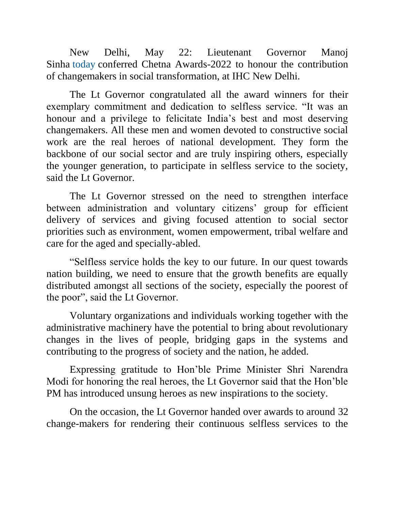New Delhi, May 22: Lieutenant Governor Manoj Sinha today conferred Chetna Awards-2022 to honour the contribution of changemakers in social transformation, at IHC New Delhi.

The Lt Governor congratulated all the award winners for their exemplary commitment and dedication to selfless service. "It was an honour and a privilege to felicitate India's best and most deserving changemakers. All these men and women devoted to constructive social work are the real heroes of national development. They form the backbone of our social sector and are truly inspiring others, especially the younger generation, to participate in selfless service to the society, said the Lt Governor.

The Lt Governor stressed on the need to strengthen interface between administration and voluntary citizens' group for efficient delivery of services and giving focused attention to social sector priorities such as environment, women empowerment, tribal welfare and care for the aged and specially-abled.

"Selfless service holds the key to our future. In our quest towards nation building, we need to ensure that the growth benefits are equally distributed amongst all sections of the society, especially the poorest of the poor", said the Lt Governor.

Voluntary organizations and individuals working together with the administrative machinery have the potential to bring about revolutionary changes in the lives of people, bridging gaps in the systems and contributing to the progress of society and the nation, he added.

Expressing gratitude to Hon'ble Prime Minister Shri Narendra Modi for honoring the real heroes, the Lt Governor said that the Hon'ble PM has introduced unsung heroes as new inspirations to the society.

On the occasion, the Lt Governor handed over awards to around 32 change-makers for rendering their continuous selfless services to the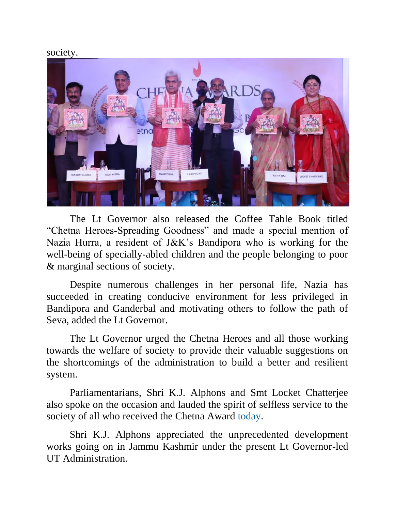## society.



The Lt Governor also released the Coffee Table Book titled "Chetna Heroes-Spreading Goodness" and made a special mention of Nazia Hurra, a resident of J&K's Bandipora who is working for the well-being of specially-abled children and the people belonging to poor & marginal sections of society.

Despite numerous challenges in her personal life, Nazia has succeeded in creating conducive environment for less privileged in Bandipora and Ganderbal and motivating others to follow the path of Seva, added the Lt Governor.

The Lt Governor urged the Chetna Heroes and all those working towards the welfare of society to provide their valuable suggestions on the shortcomings of the administration to build a better and resilient system.

Parliamentarians, Shri K.J. Alphons and Smt Locket Chatterjee also spoke on the occasion and lauded the spirit of selfless service to the society of all who received the Chetna Award today.

Shri K.J. Alphons appreciated the unprecedented development works going on in Jammu Kashmir under the present Lt Governor-led UT Administration.